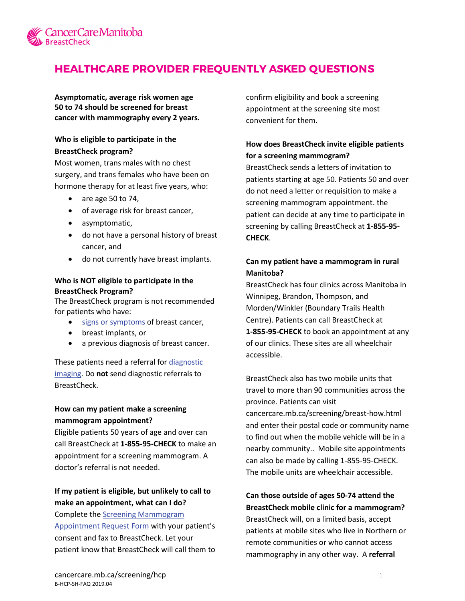

# **HEALTHCARE PROVIDER FREQUENTLY ASKED QUESTIONS**

**Asymptomatic, average risk women age 50 to 74 should be screened for breast cancer with mammography every 2 years.**

#### **Who is eligible to participate in the BreastCheck program?**

Most women, trans males with no chest surgery, and trans females who have been on hormone therapy for at least five years, who:

- are age 50 to 74,
- of average risk for breast cancer,
- asymptomatic,
- do not have a personal history of breast cancer, and
- do not currently have breast implants.

#### **Who is NOT eligible to participate in the BreastCheck Program?**

The BreastCheck program is not recommended for patients who have:

- [signs or symptoms](https://www.cancercare.mb.ca/export/sites/default/screening/.galleries/files/screening-files/b-bkmk-knowyourbreasts-e.pdf) of breast cancer,
- breast implants, or
- a previous diagnosis of breast cancer.

These patients need a referral for diagnostic [imaging.](https://dsmanitoba.ca/patients/location-hours/) Do **not** send diagnostic referrals to BreastCheck.

#### **How can my patient make a screening mammogram appointment?**

Eligible patients 50 years of age and over can call BreastCheck at **1-855-95-CHECK** to make an appointment for a screening mammogram. A doctor's referral is not needed.

### **If my patient is eligible, but unlikely to call to make an appointment, what can I do?**

Complete the [Screening Mammogram](https://www.cancercare.mb.ca/export/sites/default/screening/.galleries/files/screening-files/b-form-apptrequest.pdf)  [Appointment Request Form](https://www.cancercare.mb.ca/export/sites/default/screening/.galleries/files/screening-files/b-form-apptrequest.pdf) with your patient's consent and fax to BreastCheck. Let your patient know that BreastCheck will call them to confirm eligibility and book a screening appointment at the screening site most convenient for them.

### **How does BreastCheck invite eligible patients for a screening mammogram?**

BreastCheck sends a letters of invitation to patients starting at age 50. Patients 50 and over do not need a letter or requisition to make a screening mammogram appointment. the patient can decide at any time to participate in screening by calling BreastCheck at **1-855-95- CHECK**.

### **Can my patient have a mammogram in rural Manitoba?**

BreastCheck has four clinics across Manitoba in Winnipeg, Brandon, Thompson, and Morden/Winkler (Boundary Trails Health Centre). Patients can call BreastCheck at **1-855-95-CHECK** to book an appointment at any of our clinics. These sites are all wheelchair accessible.

BreastCheck also has two mobile units that travel to more than 90 communities across the province. Patients can visit cancercare.mb.ca/screening/breast-how.html and enter their postal code or community name to find out when the mobile vehicle will be in a nearby community.. Mobile site appointments can also be made by calling 1-855-95-CHECK. The mobile units are wheelchair accessible.

## **Can those outside of ages 50-74 attend the BreastCheck mobile clinic for a mammogram?**  BreastCheck will, on a limited basis, accept patients at mobile sites who live in Northern or remote communities or who cannot access mammography in any other way. A **referral**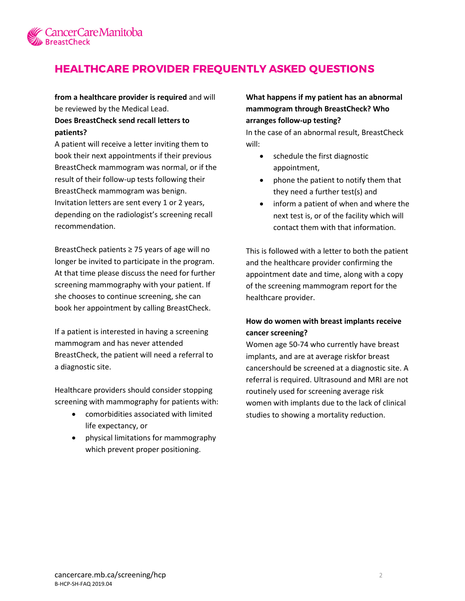

# **HEALTHCARE PROVIDER FREQUENTLY ASKED QUESTIONS**

**from a healthcare provider is required** and will be reviewed by the Medical Lead.

### **Does BreastCheck send recall letters to patients?**

A patient will receive a letter inviting them to book their next appointments if their previous BreastCheck mammogram was normal, or if the result of their follow-up tests following their BreastCheck mammogram was benign. Invitation letters are sent every 1 or 2 years, depending on the radiologist's screening recall recommendation.

BreastCheck patients ≥ 75 years of age will no longer be invited to participate in the program. At that time please discuss the need for further screening mammography with your patient. If she chooses to continue screening, she can book her appointment by calling BreastCheck.

If a patient is interested in having a screening mammogram and has never attended BreastCheck, the patient will need a referral to a diagnostic site.

Healthcare providers should consider stopping screening with mammography for patients with:

- comorbidities associated with limited life expectancy, or
- physical limitations for mammography which prevent proper positioning.

### **What happens if my patient has an abnormal mammogram through BreastCheck? Who arranges follow-up testing?**

In the case of an abnormal result, BreastCheck will:

- schedule the first diagnostic appointment,
- phone the patient to notify them that they need a further test(s) and
- inform a patient of when and where the next test is, or of the facility which will contact them with that information.

This is followed with a letter to both the patient and the healthcare provider confirming the appointment date and time, along with a copy of the screening mammogram report for the healthcare provider.

### **How do women with breast implants receive cancer screening?**

Women age 50-74 who currently have breast implants, and are at average riskfor breast cancershould be screened at a diagnostic site. A referral is required. Ultrasound and MRI are not routinely used for screening average risk women with implants due to the lack of clinical studies to showing a mortality reduction.